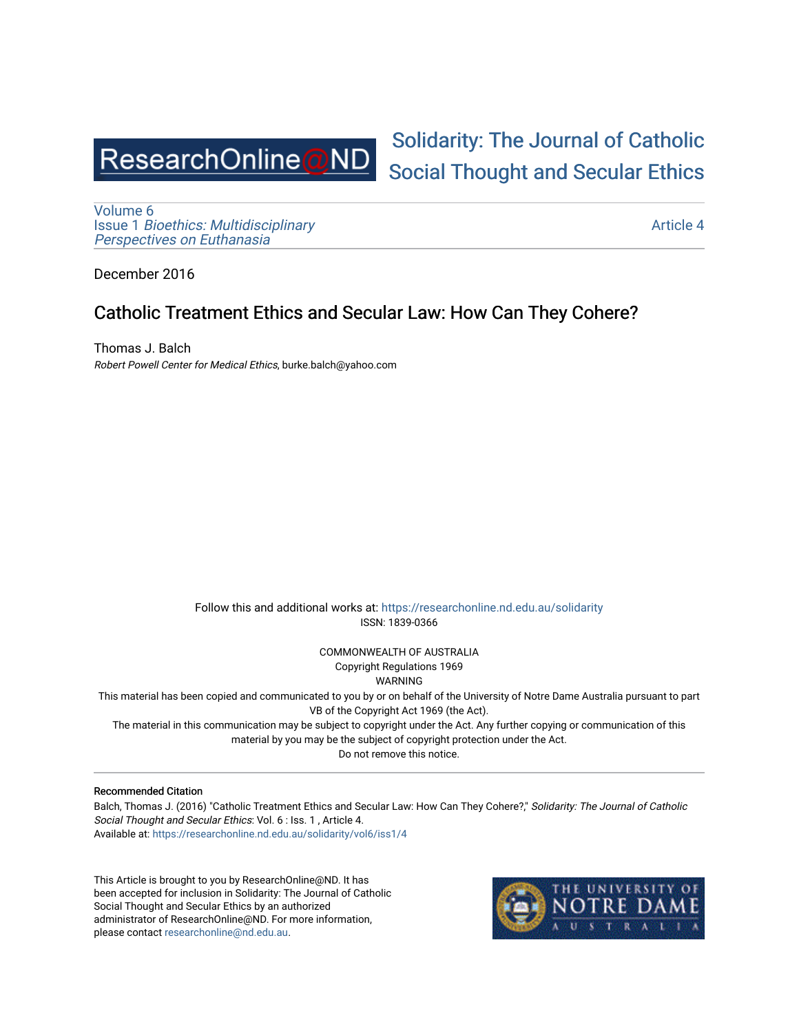

[Volume 6](https://researchonline.nd.edu.au/solidarity/vol6) Issue 1 [Bioethics: Multidisciplinary](https://researchonline.nd.edu.au/solidarity/vol6/iss1)  [Perspectives on Euthanasia](https://researchonline.nd.edu.au/solidarity/vol6/iss1) 

[Solidarity: The Journal of Catholic](https://researchonline.nd.edu.au/solidarity)  [Social Thought and Secular Ethics](https://researchonline.nd.edu.au/solidarity) 

[Article 4](https://researchonline.nd.edu.au/solidarity/vol6/iss1/4) 

December 2016

## Catholic Treatment Ethics and Secular Law: How Can They Cohere?

Thomas J. Balch Robert Powell Center for Medical Ethics, burke.balch@yahoo.com

> Follow this and additional works at: [https://researchonline.nd.edu.au/solidarity](https://researchonline.nd.edu.au/solidarity?utm_source=researchonline.nd.edu.au%2Fsolidarity%2Fvol6%2Fiss1%2F4&utm_medium=PDF&utm_campaign=PDFCoverPages)  ISSN: 1839-0366

> > COMMONWEALTH OF AUSTRALIA Copyright Regulations 1969

WARNING

This material has been copied and communicated to you by or on behalf of the University of Notre Dame Australia pursuant to part VB of the Copyright Act 1969 (the Act).

The material in this communication may be subject to copyright under the Act. Any further copying or communication of this material by you may be the subject of copyright protection under the Act.

Do not remove this notice.

#### Recommended Citation

Balch, Thomas J. (2016) "Catholic Treatment Ethics and Secular Law: How Can They Cohere?," Solidarity: The Journal of Catholic Social Thought and Secular Ethics: Vol. 6 : Iss. 1 , Article 4. Available at: [https://researchonline.nd.edu.au/solidarity/vol6/iss1/4](https://researchonline.nd.edu.au/solidarity/vol6/iss1/4?utm_source=researchonline.nd.edu.au%2Fsolidarity%2Fvol6%2Fiss1%2F4&utm_medium=PDF&utm_campaign=PDFCoverPages) 

This Article is brought to you by ResearchOnline@ND. It has been accepted for inclusion in Solidarity: The Journal of Catholic Social Thought and Secular Ethics by an authorized administrator of ResearchOnline@ND. For more information, please contact [researchonline@nd.edu.au.](mailto:researchonline@nd.edu.au)

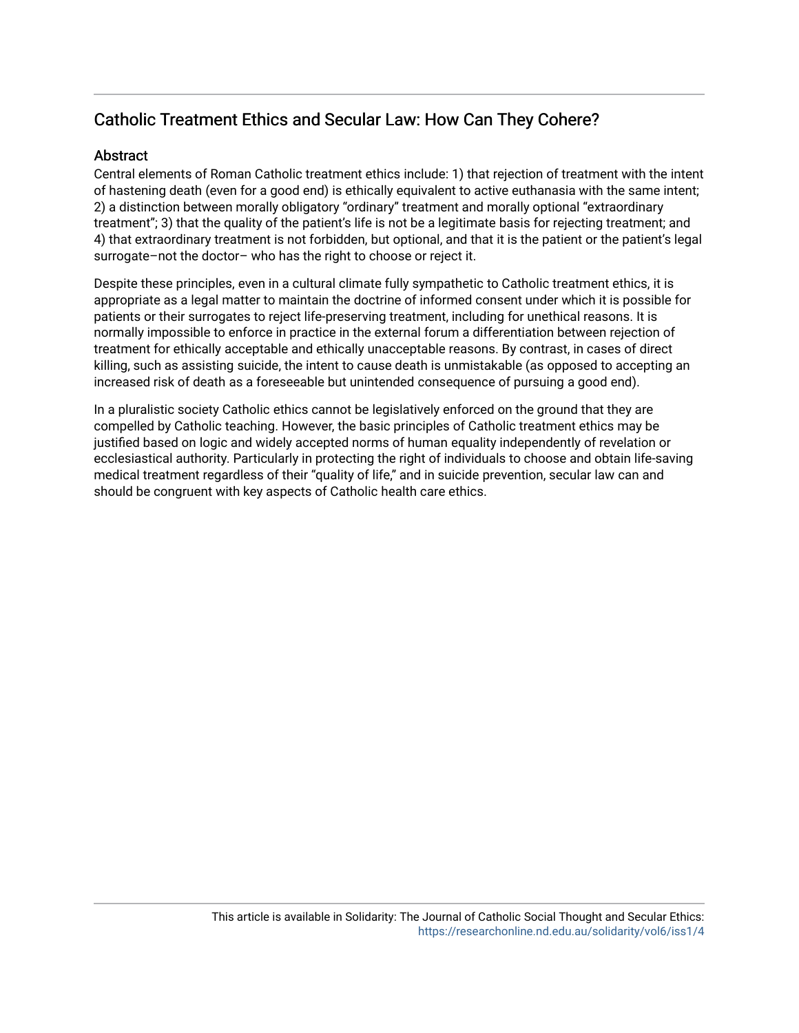# Catholic Treatment Ethics and Secular Law: How Can They Cohere?

#### Abstract

Central elements of Roman Catholic treatment ethics include: 1) that rejection of treatment with the intent of hastening death (even for a good end) is ethically equivalent to active euthanasia with the same intent; 2) a distinction between morally obligatory "ordinary" treatment and morally optional "extraordinary treatment"; 3) that the quality of the patient's life is not be a legitimate basis for rejecting treatment; and 4) that extraordinary treatment is not forbidden, but optional, and that it is the patient or the patient's legal surrogate–not the doctor– who has the right to choose or reject it.

Despite these principles, even in a cultural climate fully sympathetic to Catholic treatment ethics, it is appropriate as a legal matter to maintain the doctrine of informed consent under which it is possible for patients or their surrogates to reject life-preserving treatment, including for unethical reasons. It is normally impossible to enforce in practice in the external forum a differentiation between rejection of treatment for ethically acceptable and ethically unacceptable reasons. By contrast, in cases of direct killing, such as assisting suicide, the intent to cause death is unmistakable (as opposed to accepting an increased risk of death as a foreseeable but unintended consequence of pursuing a good end).

In a pluralistic society Catholic ethics cannot be legislatively enforced on the ground that they are compelled by Catholic teaching. However, the basic principles of Catholic treatment ethics may be justified based on logic and widely accepted norms of human equality independently of revelation or ecclesiastical authority. Particularly in protecting the right of individuals to choose and obtain life-saving medical treatment regardless of their "quality of life," and in suicide prevention, secular law can and should be congruent with key aspects of Catholic health care ethics.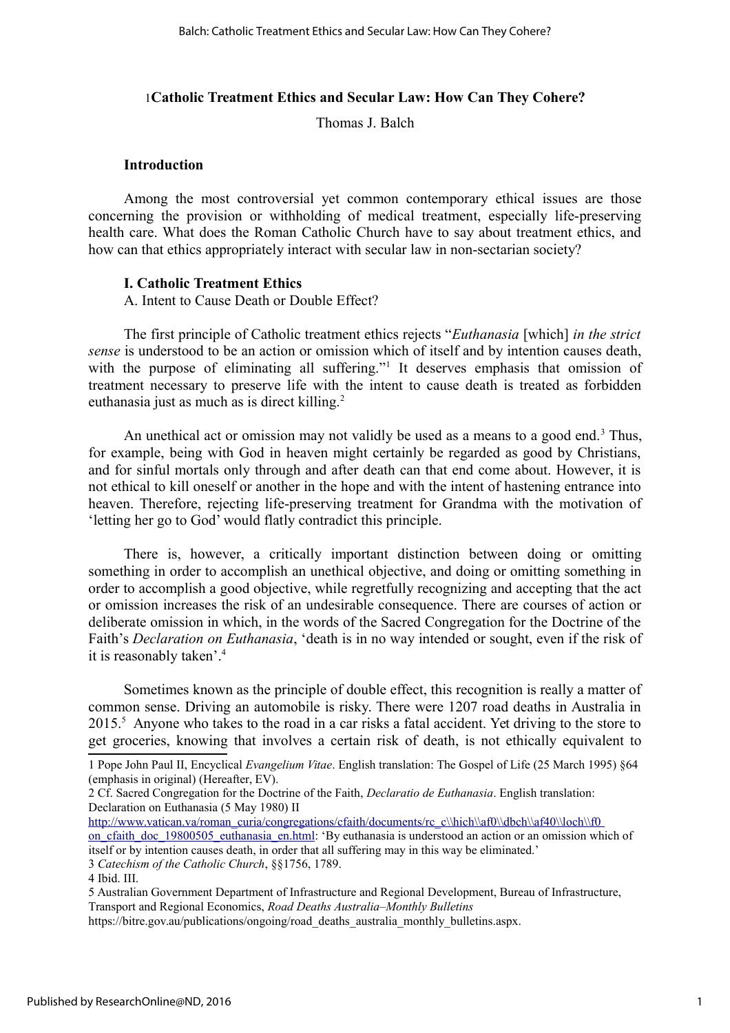#### 1**Catholic Treatment Ethics and Secular Law: How Can They Cohere?**

Thomas J. Balch

#### **Introduction**

Among the most controversial yet common contemporary ethical issues are those concerning the provision or withholding of medical treatment, especially life-preserving health care. What does the Roman Catholic Church have to say about treatment ethics, and how can that ethics appropriately interact with secular law in non-sectarian society?

#### **I. Catholic Treatment Ethics**

A. Intent to Cause Death or Double Effect?

The first principle of Catholic treatment ethics rejects "*Euthanasia* [which] *in the strict sense* is understood to be an action or omission which of itself and by intention causes death, with the purpose of eliminating all suffering."<sup>[1](#page-2-0)</sup> It deserves emphasis that omission of treatment necessary to preserve life with the intent to cause death is treated as forbidden euthanasia just as much as is direct killing. $2$ 

An unethical act or omission may not validly be used as a means to a good end.<sup>[3](#page-2-2)</sup> Thus, for example, being with God in heaven might certainly be regarded as good by Christians, and for sinful mortals only through and after death can that end come about. However, it is not ethical to kill oneself or another in the hope and with the intent of hastening entrance into heaven. Therefore, rejecting life-preserving treatment for Grandma with the motivation of 'letting her go to God' would flatly contradict this principle.

There is, however, a critically important distinction between doing or omitting something in order to accomplish an unethical objective, and doing or omitting something in order to accomplish a good objective, while regretfully recognizing and accepting that the act or omission increases the risk of an undesirable consequence. There are courses of action or deliberate omission in which, in the words of the Sacred Congregation for the Doctrine of the Faith's *Declaration on Euthanasia*, 'death is in no way intended or sought, even if the risk of it is reasonably taken'.[4](#page-2-3)

Sometimes known as the principle of double effect, this recognition is really a matter of common sense. Driving an automobile is risky. There were 1207 road deaths in Australia in 201[5](#page-2-4).<sup>5</sup> Anyone who takes to the road in a car risks a fatal accident. Yet driving to the store to get groceries, knowing that involves a certain risk of death, is not ethically equivalent to

<span id="page-2-2"></span>3 *Catechism of the Catholic Church*, §§1756, 1789.

<span id="page-2-0"></span><sup>1</sup> Pope John Paul II, Encyclical *Evangelium Vitae*. English translation: The Gospel of Life (25 March 1995) §64 (emphasis in original) (Hereafter, EV).

<span id="page-2-1"></span><sup>2</sup> Cf. Sacred Congregation for the Doctrine of the Faith, *Declaratio de Euthanasia*. English translation: Declaration on Euthanasia (5 May 1980) II

http://www.vatican.va/roman\_curia/congregations/cfaith/documents/rc\_c\\hich\\af0\\dbch\\af40\\loch\\f0

on cfaith doc 19800505 euthanasia en.html: 'By euthanasia is understood an action or an omission which of itself or by intention causes death, in order that all suffering may in this way be eliminated.'

<span id="page-2-3"></span><sup>4</sup> Ibid. III.

<span id="page-2-4"></span><sup>5</sup> Australian Government Department of Infrastructure and Regional Development, Bureau of Infrastructure, Transport and Regional Economics, *Road Deaths Australia–Monthly Bulletins*

https://bitre.gov.au/publications/ongoing/road\_deaths\_australia\_monthly\_bulletins.aspx.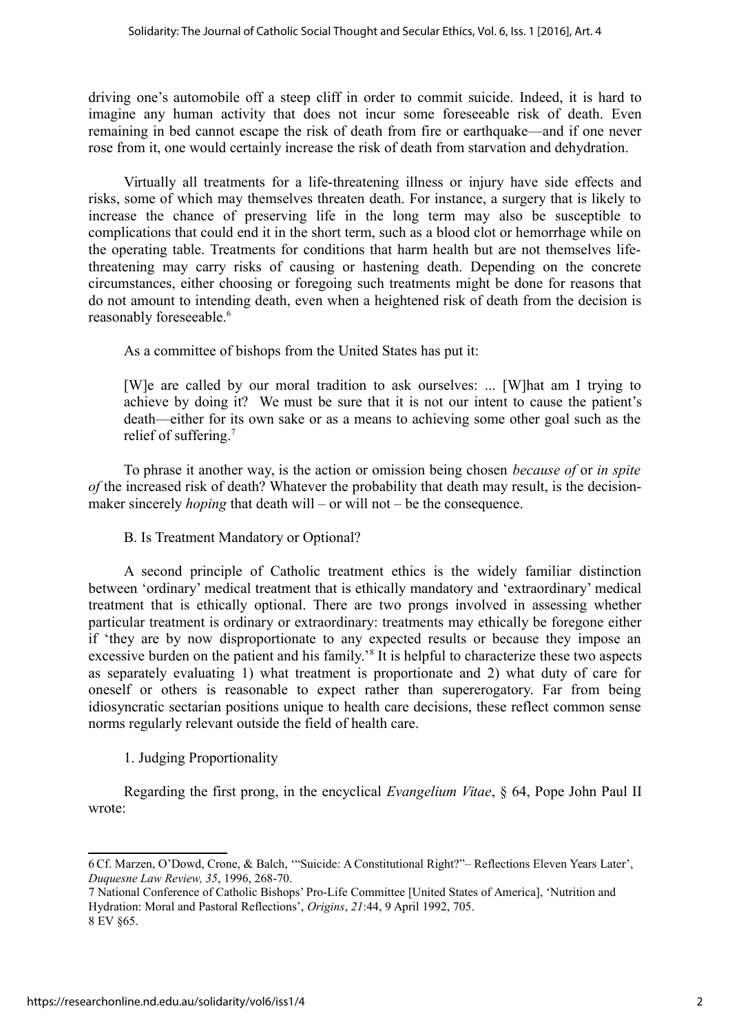driving one's automobile off a steep cliff in order to commit suicide. Indeed, it is hard to imagine any human activity that does not incur some foreseeable risk of death. Even remaining in bed cannot escape the risk of death from fire or earthquake—and if one never rose from it, one would certainly increase the risk of death from starvation and dehydration.

Virtually all treatments for a life-threatening illness or injury have side effects and risks, some of which may themselves threaten death. For instance, a surgery that is likely to increase the chance of preserving life in the long term may also be susceptible to complications that could end it in the short term, such as a blood clot or hemorrhage while on the operating table. Treatments for conditions that harm health but are not themselves lifethreatening may carry risks of causing or hastening death. Depending on the concrete circumstances, either choosing or foregoing such treatments might be done for reasons that do not amount to intending death, even when a heightened risk of death from the decision is reasonably foreseeable.<sup>[6](#page-3-0)</sup>

As a committee of bishops from the United States has put it:

[W]e are called by our moral tradition to ask ourselves: ... [W]hat am I trying to achieve by doing it? We must be sure that it is not our intent to cause the patient's death—either for its own sake or as a means to achieving some other goal such as the relief of suffering.[7](#page-3-1)

To phrase it another way, is the action or omission being chosen *because of* or *in spite of* the increased risk of death? Whatever the probability that death may result, is the decisionmaker sincerely *hoping* that death will – or will not – be the consequence.

## B. Is Treatment Mandatory or Optional?

A second principle of Catholic treatment ethics is the widely familiar distinction between 'ordinary' medical treatment that is ethically mandatory and 'extraordinary' medical treatment that is ethically optional. There are two prongs involved in assessing whether particular treatment is ordinary or extraordinary: treatments may ethically be foregone either if 'they are by now disproportionate to any expected results or because they impose an excessive burden on the patient and his family.<sup>[8](#page-3-2)</sup> It is helpful to characterize these two aspects as separately evaluating 1) what treatment is proportionate and 2) what duty of care for oneself or others is reasonable to expect rather than supererogatory. Far from being idiosyncratic sectarian positions unique to health care decisions, these reflect common sense norms regularly relevant outside the field of health care.

## 1. Judging Proportionality

Regarding the first prong, in the encyclical *Evangelium Vitae*, § 64, Pope John Paul II wrote:

<span id="page-3-0"></span><sup>6</sup>Cf. Marzen, O'Dowd, Crone, & Balch, '"Suicide: A Constitutional Right?"– Reflections Eleven Years Later', *Duquesne Law Review, 35*, 1996, 268-70.

<span id="page-3-2"></span><span id="page-3-1"></span><sup>7</sup> National Conference of Catholic Bishops' Pro-Life Committee [United States of America], 'Nutrition and Hydration: Moral and Pastoral Reflections', *Origins*, *21*:44, 9 April 1992, 705. 8 EV §65.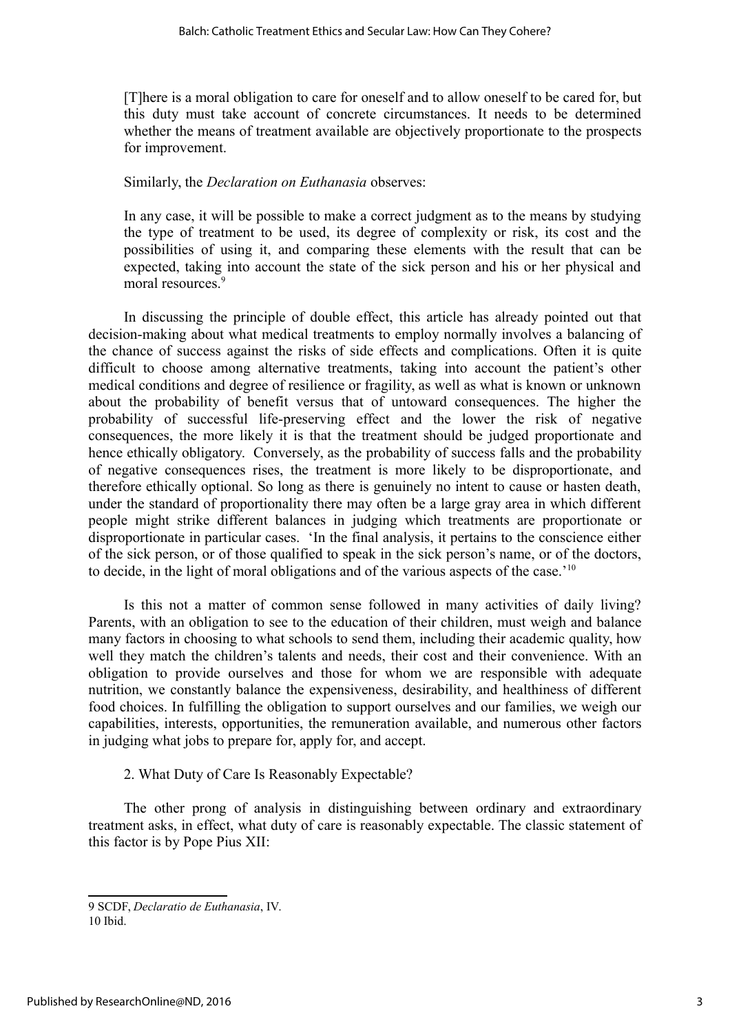[T]here is a moral obligation to care for oneself and to allow oneself to be cared for, but this duty must take account of concrete circumstances. It needs to be determined whether the means of treatment available are objectively proportionate to the prospects for improvement.

#### Similarly, the *Declaration on Euthanasia* observes:

In any case, it will be possible to make a correct judgment as to the means by studying the type of treatment to be used, its degree of complexity or risk, its cost and the possibilities of using it, and comparing these elements with the result that can be expected, taking into account the state of the sick person and his or her physical and moral resources.<sup>[9](#page-4-0)</sup>

In discussing the principle of double effect, this article has already pointed out that decision-making about what medical treatments to employ normally involves a balancing of the chance of success against the risks of side effects and complications. Often it is quite difficult to choose among alternative treatments, taking into account the patient's other medical conditions and degree of resilience or fragility, as well as what is known or unknown about the probability of benefit versus that of untoward consequences. The higher the probability of successful life-preserving effect and the lower the risk of negative consequences, the more likely it is that the treatment should be judged proportionate and hence ethically obligatory. Conversely, as the probability of success falls and the probability of negative consequences rises, the treatment is more likely to be disproportionate, and therefore ethically optional. So long as there is genuinely no intent to cause or hasten death, under the standard of proportionality there may often be a large gray area in which different people might strike different balances in judging which treatments are proportionate or disproportionate in particular cases. 'In the final analysis, it pertains to the conscience either of the sick person, or of those qualified to speak in the sick person's name, or of the doctors, to decide, in the light of moral obligations and of the various aspects of the case.<sup>'[10](#page-4-1)</sup>

Is this not a matter of common sense followed in many activities of daily living? Parents, with an obligation to see to the education of their children, must weigh and balance many factors in choosing to what schools to send them, including their academic quality, how well they match the children's talents and needs, their cost and their convenience. With an obligation to provide ourselves and those for whom we are responsible with adequate nutrition, we constantly balance the expensiveness, desirability, and healthiness of different food choices. In fulfilling the obligation to support ourselves and our families, we weigh our capabilities, interests, opportunities, the remuneration available, and numerous other factors in judging what jobs to prepare for, apply for, and accept.

2. What Duty of Care Is Reasonably Expectable?

The other prong of analysis in distinguishing between ordinary and extraordinary treatment asks, in effect, what duty of care is reasonably expectable. The classic statement of this factor is by Pope Pius XII:

<span id="page-4-1"></span><span id="page-4-0"></span>9 SCDF, *Declaratio de Euthanasia*, IV. 10 Ibid.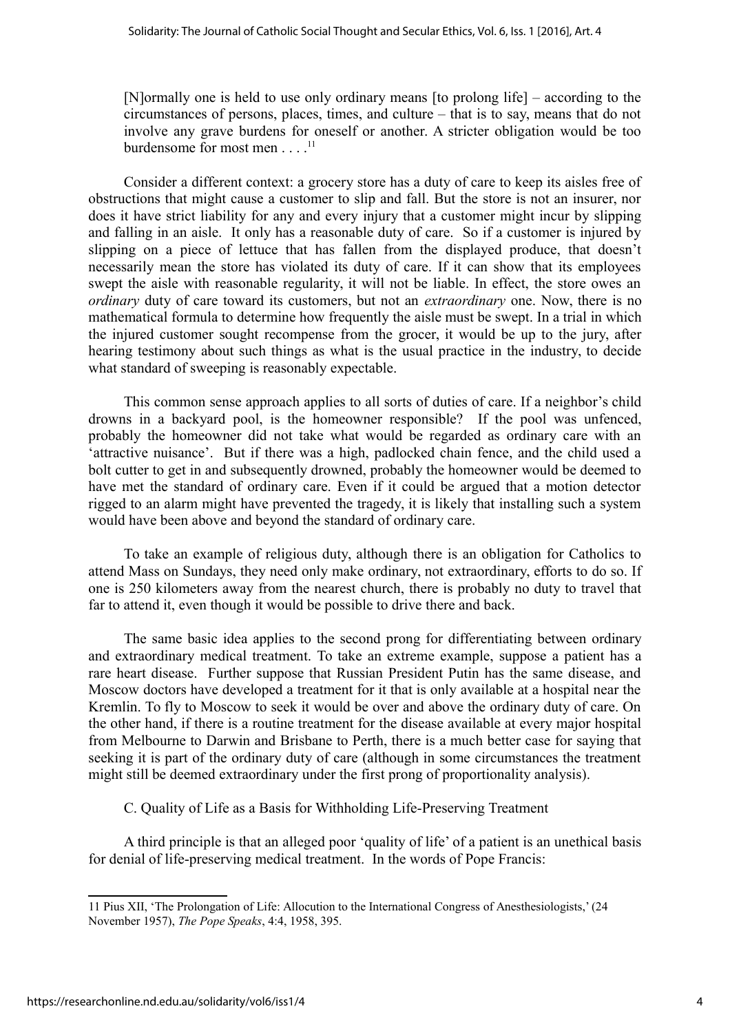[N]ormally one is held to use only ordinary means [to prolong life] – according to the circumstances of persons, places, times, and culture – that is to say, means that do not involve any grave burdens for oneself or another. A stricter obligation would be too burdensome for most men . . . .<sup>[11](#page-5-0)</sup>

Consider a different context: a grocery store has a duty of care to keep its aisles free of obstructions that might cause a customer to slip and fall. But the store is not an insurer, nor does it have strict liability for any and every injury that a customer might incur by slipping and falling in an aisle. It only has a reasonable duty of care. So if a customer is injured by slipping on a piece of lettuce that has fallen from the displayed produce, that doesn't necessarily mean the store has violated its duty of care. If it can show that its employees swept the aisle with reasonable regularity, it will not be liable. In effect, the store owes an *ordinary* duty of care toward its customers, but not an *extraordinary* one. Now, there is no mathematical formula to determine how frequently the aisle must be swept. In a trial in which the injured customer sought recompense from the grocer, it would be up to the jury, after hearing testimony about such things as what is the usual practice in the industry, to decide what standard of sweeping is reasonably expectable.

This common sense approach applies to all sorts of duties of care. If a neighbor's child drowns in a backyard pool, is the homeowner responsible? If the pool was unfenced, probably the homeowner did not take what would be regarded as ordinary care with an 'attractive nuisance'. But if there was a high, padlocked chain fence, and the child used a bolt cutter to get in and subsequently drowned, probably the homeowner would be deemed to have met the standard of ordinary care. Even if it could be argued that a motion detector rigged to an alarm might have prevented the tragedy, it is likely that installing such a system would have been above and beyond the standard of ordinary care.

To take an example of religious duty, although there is an obligation for Catholics to attend Mass on Sundays, they need only make ordinary, not extraordinary, efforts to do so. If one is 250 kilometers away from the nearest church, there is probably no duty to travel that far to attend it, even though it would be possible to drive there and back.

The same basic idea applies to the second prong for differentiating between ordinary and extraordinary medical treatment. To take an extreme example, suppose a patient has a rare heart disease. Further suppose that Russian President Putin has the same disease, and Moscow doctors have developed a treatment for it that is only available at a hospital near the Kremlin. To fly to Moscow to seek it would be over and above the ordinary duty of care. On the other hand, if there is a routine treatment for the disease available at every major hospital from Melbourne to Darwin and Brisbane to Perth, there is a much better case for saying that seeking it is part of the ordinary duty of care (although in some circumstances the treatment might still be deemed extraordinary under the first prong of proportionality analysis).

C. Quality of Life as a Basis for Withholding Life-Preserving Treatment

A third principle is that an alleged poor 'quality of life' of a patient is an unethical basis for denial of life-preserving medical treatment. In the words of Pope Francis:

<span id="page-5-0"></span><sup>11</sup> Pius XII, 'The Prolongation of Life: Allocution to the International Congress of Anesthesiologists,' (24 November 1957), *The Pope Speaks*, 4:4, 1958, 395.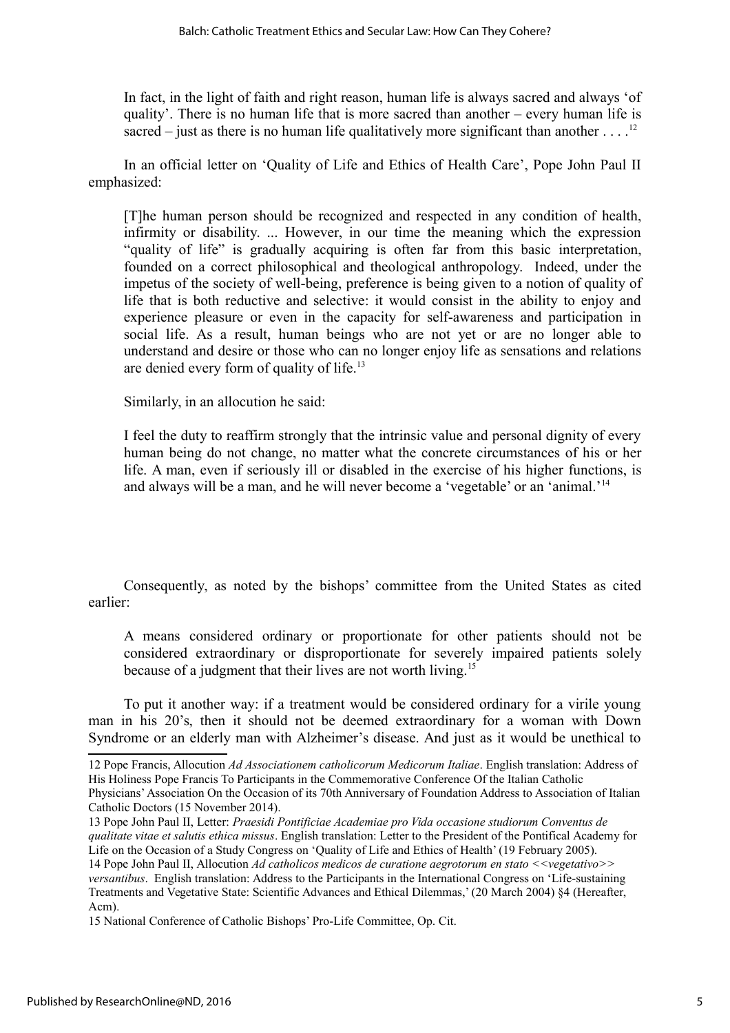In fact, in the light of faith and right reason, human life is always sacred and always 'of quality'. There is no human life that is more sacred than another – every human life is sacred – just as there is no human life qualitatively more significant than another  $\dots$ .<sup>[12](#page-6-0)</sup>

In an official letter on 'Quality of Life and Ethics of Health Care', Pope John Paul II emphasized:

[T]he human person should be recognized and respected in any condition of health, infirmity or disability. ... However, in our time the meaning which the expression "quality of life" is gradually acquiring is often far from this basic interpretation, founded on a correct philosophical and theological anthropology. Indeed, under the impetus of the society of well-being, preference is being given to a notion of quality of life that is both reductive and selective: it would consist in the ability to enjoy and experience pleasure or even in the capacity for self-awareness and participation in social life. As a result, human beings who are not yet or are no longer able to understand and desire or those who can no longer enjoy life as sensations and relations are denied every form of quality of life.<sup>[13](#page-6-1)</sup>

Similarly, in an allocution he said:

I feel the duty to reaffirm strongly that the intrinsic value and personal dignity of every human being do not change, no matter what the concrete circumstances of his or her life. A man, even if seriously ill or disabled in the exercise of his higher functions, is and always will be a man, and he will never become a 'vegetable' or an 'animal.'[14](#page-6-2)

Consequently, as noted by the bishops' committee from the United States as cited earlier:

A means considered ordinary or proportionate for other patients should not be considered extraordinary or disproportionate for severely impaired patients solely because of a judgment that their lives are not worth living.<sup>[15](#page-6-3)</sup>

To put it another way: if a treatment would be considered ordinary for a virile young man in his 20's, then it should not be deemed extraordinary for a woman with Down Syndrome or an elderly man with Alzheimer's disease. And just as it would be unethical to

<span id="page-6-0"></span><sup>12</sup> Pope Francis, Allocution *Ad Associationem catholicorum Medicorum Italiae*. English translation: Address of His Holiness Pope Francis To Participants in the Commemorative Conference Of the Italian Catholic Physicians' Association On the Occasion of its 70th Anniversary of Foundation Address to Association of Italian Catholic Doctors (15 November 2014).

<span id="page-6-1"></span><sup>13</sup> Pope John Paul II, Letter: *Praesidi Pontificiae Academiae pro Vida occasione studiorum Conventus de qualitate vitae et salutis ethica missus*. English translation: Letter to the President of the Pontifical Academy for Life on the Occasion of a Study Congress on 'Quality of Life and Ethics of Health' (19 February 2005).

<span id="page-6-2"></span><sup>14</sup> Pope John Paul II, Allocution *Ad catholicos medicos de curatione aegrotorum en stato <<vegetativo>> versantibus*. English translation: Address to the Participants in the International Congress on 'Life-sustaining Treatments and Vegetative State: Scientific Advances and Ethical Dilemmas,' (20 March 2004) §4 (Hereafter, Acm).

<span id="page-6-3"></span><sup>15</sup> National Conference of Catholic Bishops' Pro-Life Committee, Op. Cit.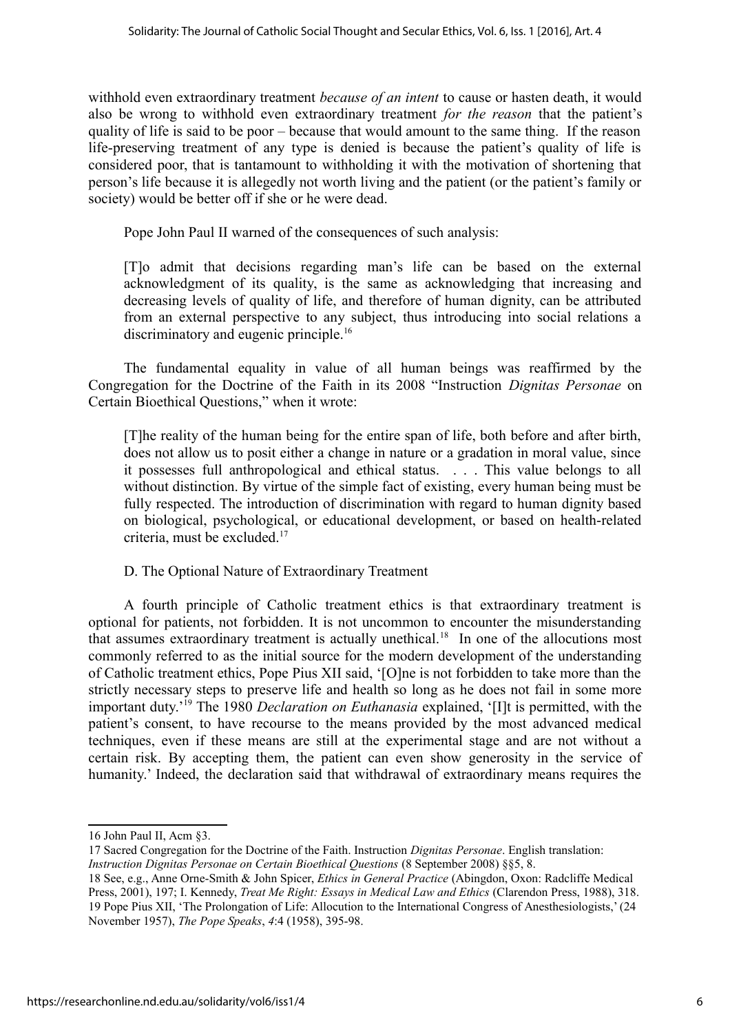withhold even extraordinary treatment *because of an intent* to cause or hasten death, it would also be wrong to withhold even extraordinary treatment *for the reason* that the patient's quality of life is said to be poor – because that would amount to the same thing. If the reason life-preserving treatment of any type is denied is because the patient's quality of life is considered poor, that is tantamount to withholding it with the motivation of shortening that person's life because it is allegedly not worth living and the patient (or the patient's family or society) would be better off if she or he were dead.

Pope John Paul II warned of the consequences of such analysis:

[T]o admit that decisions regarding man's life can be based on the external acknowledgment of its quality, is the same as acknowledging that increasing and decreasing levels of quality of life, and therefore of human dignity, can be attributed from an external perspective to any subject, thus introducing into social relations a discriminatory and eugenic principle.<sup>[16](#page-7-0)</sup>

The fundamental equality in value of all human beings was reaffirmed by the Congregation for the Doctrine of the Faith in its 2008 "Instruction *Dignitas Personae* on Certain Bioethical Questions," when it wrote:

[T]he reality of the human being for the entire span of life, both before and after birth, does not allow us to posit either a change in nature or a gradation in moral value, since it possesses full anthropological and ethical status. . . . This value belongs to all without distinction. By virtue of the simple fact of existing, every human being must be fully respected. The introduction of discrimination with regard to human dignity based on biological, psychological, or educational development, or based on health-related criteria, must be excluded.<sup>[17](#page-7-1)</sup>

D. The Optional Nature of Extraordinary Treatment

A fourth principle of Catholic treatment ethics is that extraordinary treatment is optional for patients, not forbidden. It is not uncommon to encounter the misunderstanding that assumes extraordinary treatment is actually unethical.<sup>[18](#page-7-2)</sup> In one of the allocutions most commonly referred to as the initial source for the modern development of the understanding of Catholic treatment ethics, Pope Pius XII said, '[O]ne is not forbidden to take more than the strictly necessary steps to preserve life and health so long as he does not fail in some more important duty.'[19](#page-7-3) The 1980 *Declaration on Euthanasia* explained, '[I]t is permitted, with the patient's consent, to have recourse to the means provided by the most advanced medical techniques, even if these means are still at the experimental stage and are not without a certain risk. By accepting them, the patient can even show generosity in the service of humanity.' Indeed, the declaration said that withdrawal of extraordinary means requires the

<span id="page-7-1"></span>17 Sacred Congregation for the Doctrine of the Faith. Instruction *Dignitas Personae*. English translation: *Instruction Dignitas Personae on Certain Bioethical Questions* (8 September 2008) §§5, 8.

<span id="page-7-0"></span><sup>16</sup> John Paul II, Acm §3.

<span id="page-7-3"></span><span id="page-7-2"></span><sup>18</sup> See, e.g., Anne Orne-Smith & John Spicer, *Ethics in General Practice* (Abingdon, Oxon: Radcliffe Medical Press, 2001), 197; I. Kennedy, *Treat Me Right: Essays in Medical Law and Ethics* (Clarendon Press, 1988), 318. 19 Pope Pius XII, 'The Prolongation of Life: Allocution to the International Congress of Anesthesiologists,' (24 November 1957), *The Pope Speaks*, *4*:4 (1958), 395-98.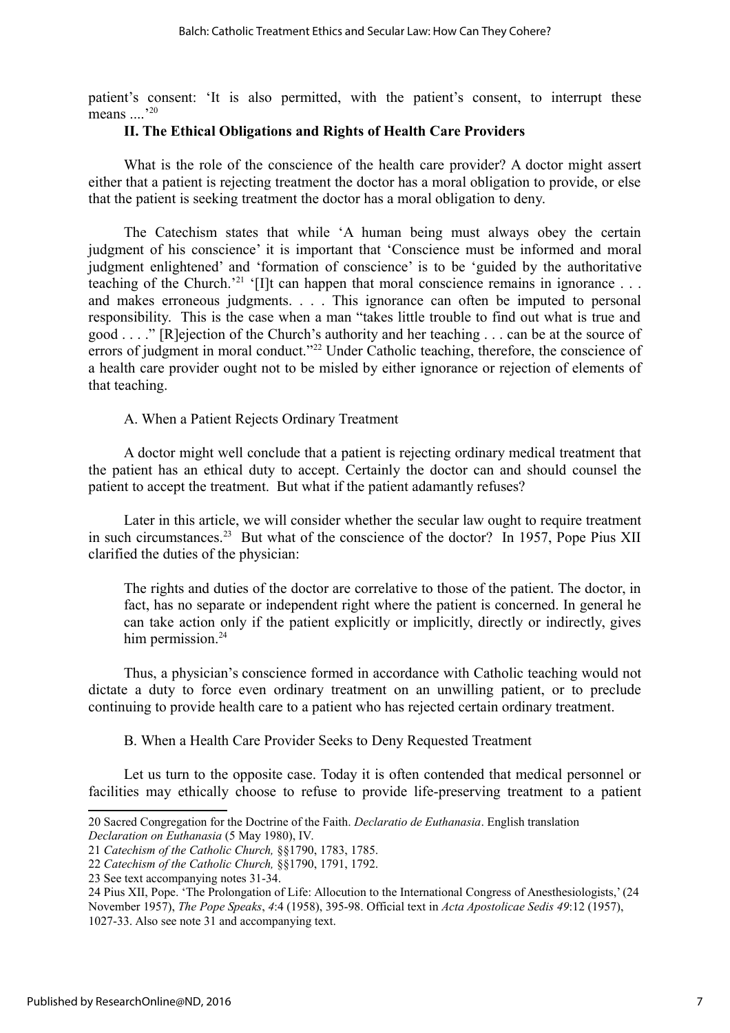patient's consent: 'It is also permitted, with the patient's consent, to interrupt these means  $\frac{1}{20}$  $\frac{1}{20}$  $\frac{1}{20}$ 

#### **II. The Ethical Obligations and Rights of Health Care Providers**

What is the role of the conscience of the health care provider? A doctor might assert either that a patient is rejecting treatment the doctor has a moral obligation to provide, or else that the patient is seeking treatment the doctor has a moral obligation to deny.

The Catechism states that while 'A human being must always obey the certain judgment of his conscience' it is important that 'Conscience must be informed and moral judgment enlightened' and 'formation of conscience' is to be 'guided by the authoritative teaching of the Church.<sup>[21](#page-8-1)</sup> '[I]t can happen that moral conscience remains in ignorance  $\ldots$ and makes erroneous judgments. . . . This ignorance can often be imputed to personal responsibility. This is the case when a man "takes little trouble to find out what is true and good . . . ." [R]ejection of the Church's authority and her teaching . . . can be at the source of errors of judgment in moral conduct."<sup>[22](#page-8-2)</sup> Under Catholic teaching, therefore, the conscience of a health care provider ought not to be misled by either ignorance or rejection of elements of that teaching.

A. When a Patient Rejects Ordinary Treatment

A doctor might well conclude that a patient is rejecting ordinary medical treatment that the patient has an ethical duty to accept. Certainly the doctor can and should counsel the patient to accept the treatment. But what if the patient adamantly refuses?

Later in this article, we will consider whether the secular law ought to require treatment in such circumstances.<sup>[23](#page-8-3)</sup> But what of the conscience of the doctor? In 1957, Pope Pius XII clarified the duties of the physician:

The rights and duties of the doctor are correlative to those of the patient. The doctor, in fact, has no separate or independent right where the patient is concerned. In general he can take action only if the patient explicitly or implicitly, directly or indirectly, gives him permission. $24$ 

Thus, a physician's conscience formed in accordance with Catholic teaching would not dictate a duty to force even ordinary treatment on an unwilling patient, or to preclude continuing to provide health care to a patient who has rejected certain ordinary treatment.

B. When a Health Care Provider Seeks to Deny Requested Treatment

Let us turn to the opposite case. Today it is often contended that medical personnel or facilities may ethically choose to refuse to provide life-preserving treatment to a patient

<span id="page-8-0"></span><sup>20</sup> Sacred Congregation for the Doctrine of the Faith. *Declaratio de Euthanasia*. English translation *Declaration on Euthanasia* (5 May 1980), IV.

<span id="page-8-1"></span><sup>21</sup> *Catechism of the Catholic Church,* §§1790, 1783, 1785.

<span id="page-8-2"></span><sup>22</sup> *Catechism of the Catholic Church,* §§1790, 1791, 1792.

<span id="page-8-3"></span><sup>23</sup> See text accompanying notes 31-34.

<span id="page-8-4"></span><sup>24</sup> Pius XII, Pope. 'The Prolongation of Life: Allocution to the International Congress of Anesthesiologists,' (24 November 1957), *The Pope Speaks*, *4*:4 (1958), 395-98. Official text in *Acta Apostolicae Sedis 49*:12 (1957), 1027-33. Also see note 31 and accompanying text.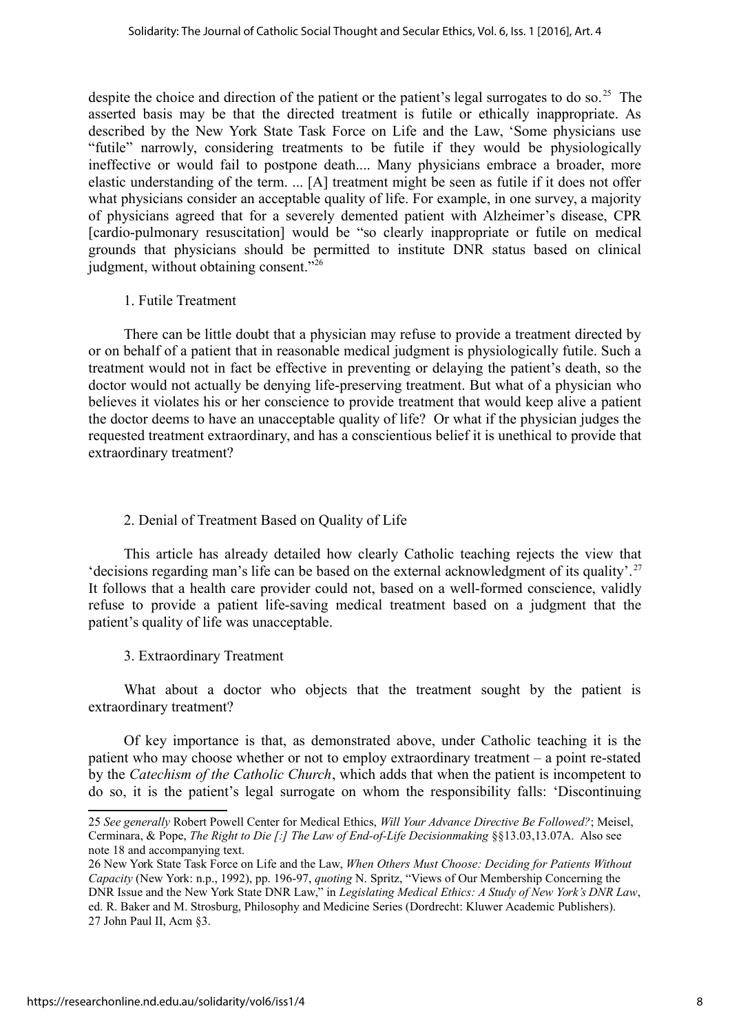despite the choice and direction of the patient or the patient's legal surrogates to do so.<sup>[25](#page-9-0)</sup> The asserted basis may be that the directed treatment is futile or ethically inappropriate. As described by the New York State Task Force on Life and the Law, 'Some physicians use "futile" narrowly, considering treatments to be futile if they would be physiologically ineffective or would fail to postpone death.... Many physicians embrace a broader, more elastic understanding of the term. ... [A] treatment might be seen as futile if it does not offer what physicians consider an acceptable quality of life. For example, in one survey, a majority of physicians agreed that for a severely demented patient with Alzheimer's disease, CPR [cardio-pulmonary resuscitation] would be "so clearly inappropriate or futile on medical grounds that physicians should be permitted to institute DNR status based on clinical judgment, without obtaining consent."[26](#page-9-1)

#### 1. Futile Treatment

There can be little doubt that a physician may refuse to provide a treatment directed by or on behalf of a patient that in reasonable medical judgment is physiologically futile. Such a treatment would not in fact be effective in preventing or delaying the patient's death, so the doctor would not actually be denying life-preserving treatment. But what of a physician who believes it violates his or her conscience to provide treatment that would keep alive a patient the doctor deems to have an unacceptable quality of life? Or what if the physician judges the requested treatment extraordinary, and has a conscientious belief it is unethical to provide that extraordinary treatment?

## 2. Denial of Treatment Based on Quality of Life

This article has already detailed how clearly Catholic teaching rejects the view that 'decisions regarding man's life can be based on the external acknowledgment of its quality'. [27](#page-9-2) It follows that a health care provider could not, based on a well-formed conscience, validly refuse to provide a patient life-saving medical treatment based on a judgment that the patient's quality of life was unacceptable.

## 3. Extraordinary Treatment

What about a doctor who objects that the treatment sought by the patient is extraordinary treatment?

Of key importance is that, as demonstrated above, under Catholic teaching it is the patient who may choose whether or not to employ extraordinary treatment – a point re-stated by the *Catechism of the Catholic Church*, which adds that when the patient is incompetent to do so, it is the patient's legal surrogate on whom the responsibility falls: 'Discontinuing

<span id="page-9-0"></span><sup>25</sup> *See generally* Robert Powell Center for Medical Ethics, *Will Your Advance Directive Be Followed?*; Meisel, Cerminara, & Pope, *The Right to Die [:] The Law of End-of-Life Decisionmaking* §§13.03,13.07A. Also see note 18 and accompanying text.

<span id="page-9-2"></span><span id="page-9-1"></span><sup>26</sup> New York State Task Force on Life and the Law, *When Others Must Choose: Deciding for Patients Without Capacity* (New York: n.p., 1992), pp. 196-97, *quoting* N. Spritz, "Views of Our Membership Concerning the DNR Issue and the New York State DNR Law," in *Legislating Medical Ethics: A Study of New York's DNR Law*, ed. R. Baker and M. Strosburg, Philosophy and Medicine Series (Dordrecht: Kluwer Academic Publishers). 27 John Paul II, Acm §3.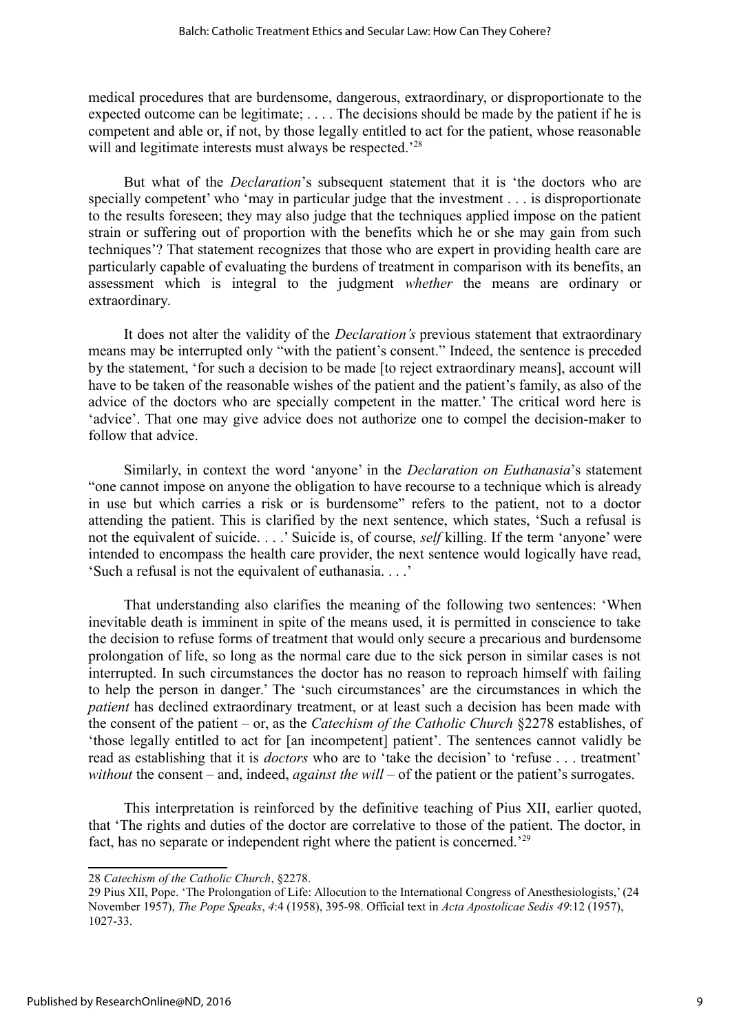medical procedures that are burdensome, dangerous, extraordinary, or disproportionate to the expected outcome can be legitimate; . . . . The decisions should be made by the patient if he is competent and able or, if not, by those legally entitled to act for the patient, whose reasonable will and legitimate interests must always be respected.<sup>'[28](#page-10-0)</sup>

But what of the *Declaration*'s subsequent statement that it is 'the doctors who are specially competent' who 'may in particular judge that the investment . . . is disproportionate to the results foreseen; they may also judge that the techniques applied impose on the patient strain or suffering out of proportion with the benefits which he or she may gain from such techniques'? That statement recognizes that those who are expert in providing health care are particularly capable of evaluating the burdens of treatment in comparison with its benefits, an assessment which is integral to the judgment *whether* the means are ordinary or extraordinary.

It does not alter the validity of the *Declaration's* previous statement that extraordinary means may be interrupted only "with the patient's consent." Indeed, the sentence is preceded by the statement, 'for such a decision to be made [to reject extraordinary means], account will have to be taken of the reasonable wishes of the patient and the patient's family, as also of the advice of the doctors who are specially competent in the matter.' The critical word here is 'advice'. That one may give advice does not authorize one to compel the decision-maker to follow that advice.

Similarly, in context the word 'anyone' in the *Declaration on Euthanasia*'s statement "one cannot impose on anyone the obligation to have recourse to a technique which is already in use but which carries a risk or is burdensome" refers to the patient, not to a doctor attending the patient. This is clarified by the next sentence, which states, 'Such a refusal is not the equivalent of suicide. . . .' Suicide is, of course, *self* killing. If the term 'anyone' were intended to encompass the health care provider, the next sentence would logically have read, 'Such a refusal is not the equivalent of euthanasia. . . .'

That understanding also clarifies the meaning of the following two sentences: 'When inevitable death is imminent in spite of the means used, it is permitted in conscience to take the decision to refuse forms of treatment that would only secure a precarious and burdensome prolongation of life, so long as the normal care due to the sick person in similar cases is not interrupted. In such circumstances the doctor has no reason to reproach himself with failing to help the person in danger.' The 'such circumstances' are the circumstances in which the *patient* has declined extraordinary treatment, or at least such a decision has been made with the consent of the patient – or, as the *Catechism of the Catholic Church* §2278 establishes, of 'those legally entitled to act for [an incompetent] patient'. The sentences cannot validly be read as establishing that it is *doctors* who are to 'take the decision' to 'refuse . . . treatment' *without* the consent – and, indeed, *against the will* – of the patient or the patient's surrogates.

This interpretation is reinforced by the definitive teaching of Pius XII, earlier quoted, that 'The rights and duties of the doctor are correlative to those of the patient. The doctor, in fact, has no separate or independent right where the patient is concerned.'[29](#page-10-1)

<span id="page-10-0"></span><sup>28</sup> *Catechism of the Catholic Church*, §2278.

<span id="page-10-1"></span><sup>29</sup> Pius XII, Pope. 'The Prolongation of Life: Allocution to the International Congress of Anesthesiologists,' (24 November 1957), *The Pope Speaks*, *4*:4 (1958), 395-98. Official text in *Acta Apostolicae Sedis 49*:12 (1957), 1027-33.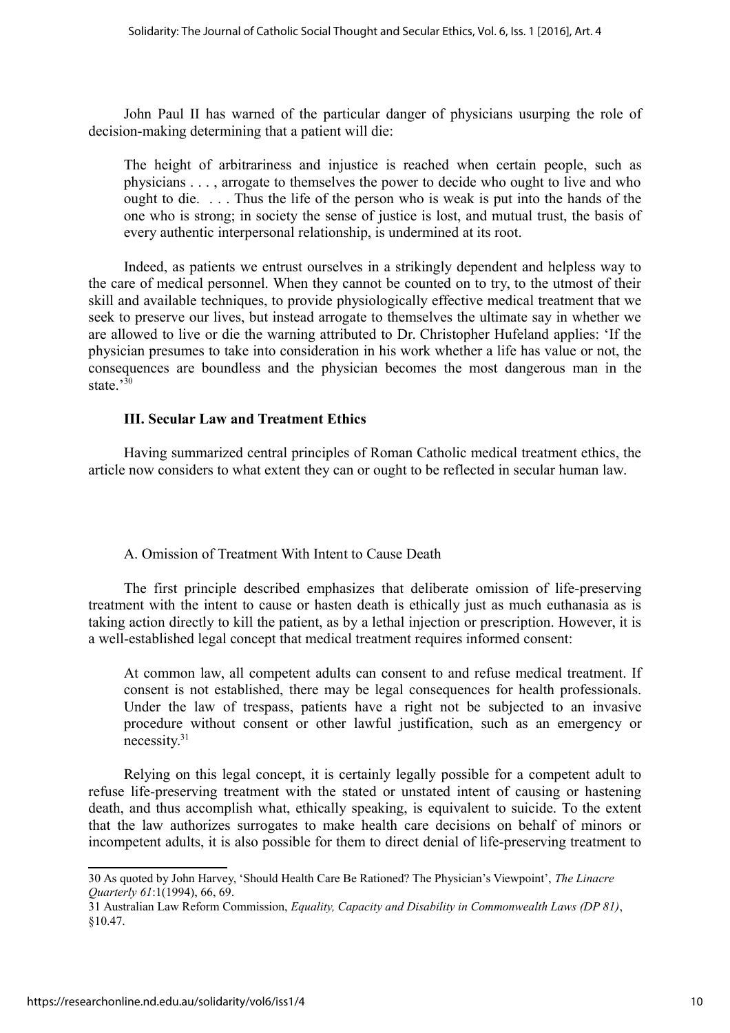John Paul II has warned of the particular danger of physicians usurping the role of decision-making determining that a patient will die:

The height of arbitrariness and injustice is reached when certain people, such as physicians . . . , arrogate to themselves the power to decide who ought to live and who ought to die. . . . Thus the life of the person who is weak is put into the hands of the one who is strong; in society the sense of justice is lost, and mutual trust, the basis of every authentic interpersonal relationship, is undermined at its root.

Indeed, as patients we entrust ourselves in a strikingly dependent and helpless way to the care of medical personnel. When they cannot be counted on to try, to the utmost of their skill and available techniques, to provide physiologically effective medical treatment that we seek to preserve our lives, but instead arrogate to themselves the ultimate say in whether we are allowed to live or die the warning attributed to Dr. Christopher Hufeland applies: 'If the physician presumes to take into consideration in his work whether a life has value or not, the consequences are boundless and the physician becomes the most dangerous man in the state $^{30}$  $^{30}$  $^{30}$ 

#### **III. Secular Law and Treatment Ethics**

Having summarized central principles of Roman Catholic medical treatment ethics, the article now considers to what extent they can or ought to be reflected in secular human law.

#### A. Omission of Treatment With Intent to Cause Death

The first principle described emphasizes that deliberate omission of life-preserving treatment with the intent to cause or hasten death is ethically just as much euthanasia as is taking action directly to kill the patient, as by a lethal injection or prescription. However, it is a well-established legal concept that medical treatment requires informed consent:

At common law, all competent adults can consent to and refuse medical treatment. If consent is not established, there may be legal consequences for health professionals. Under the law of trespass, patients have a right not be subjected to an invasive procedure without consent or other lawful justification, such as an emergency or necessity.[31](#page-11-1)

Relying on this legal concept, it is certainly legally possible for a competent adult to refuse life-preserving treatment with the stated or unstated intent of causing or hastening death, and thus accomplish what, ethically speaking, is equivalent to suicide. To the extent that the law authorizes surrogates to make health care decisions on behalf of minors or incompetent adults, it is also possible for them to direct denial of life-preserving treatment to

<span id="page-11-0"></span><sup>30</sup> As quoted by John Harvey, 'Should Health Care Be Rationed? The Physician's Viewpoint', *The Linacre Quarterly 61*:1(1994), 66, 69.

<span id="page-11-1"></span><sup>31</sup> Australian Law Reform Commission, *Equality, Capacity and Disability in Commonwealth Laws (DP 81)*, §10.47.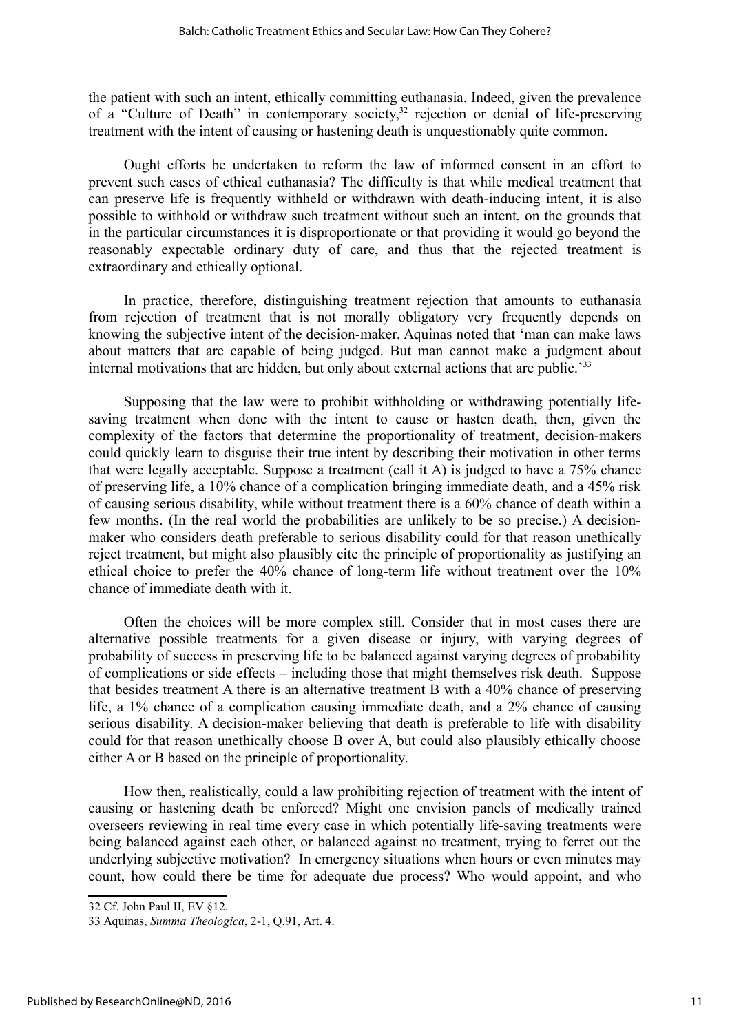the patient with such an intent, ethically committing euthanasia. Indeed, given the prevalence of a "Culture of Death" in contemporary society,<sup>[32](#page-12-0)</sup> rejection or denial of life-preserving treatment with the intent of causing or hastening death is unquestionably quite common.

Ought efforts be undertaken to reform the law of informed consent in an effort to prevent such cases of ethical euthanasia? The difficulty is that while medical treatment that can preserve life is frequently withheld or withdrawn with death-inducing intent, it is also possible to withhold or withdraw such treatment without such an intent, on the grounds that in the particular circumstances it is disproportionate or that providing it would go beyond the reasonably expectable ordinary duty of care, and thus that the rejected treatment is extraordinary and ethically optional.

In practice, therefore, distinguishing treatment rejection that amounts to euthanasia from rejection of treatment that is not morally obligatory very frequently depends on knowing the subjective intent of the decision-maker. Aquinas noted that 'man can make laws about matters that are capable of being judged. But man cannot make a judgment about internal motivations that are hidden, but only about external actions that are public.<sup>[33](#page-12-1)</sup>

Supposing that the law were to prohibit withholding or withdrawing potentially lifesaving treatment when done with the intent to cause or hasten death, then, given the complexity of the factors that determine the proportionality of treatment, decision-makers could quickly learn to disguise their true intent by describing their motivation in other terms that were legally acceptable. Suppose a treatment (call it A) is judged to have a 75% chance of preserving life, a 10% chance of a complication bringing immediate death, and a 45% risk of causing serious disability, while without treatment there is a 60% chance of death within a few months. (In the real world the probabilities are unlikely to be so precise.) A decisionmaker who considers death preferable to serious disability could for that reason unethically reject treatment, but might also plausibly cite the principle of proportionality as justifying an ethical choice to prefer the 40% chance of long-term life without treatment over the 10% chance of immediate death with it.

Often the choices will be more complex still. Consider that in most cases there are alternative possible treatments for a given disease or injury, with varying degrees of probability of success in preserving life to be balanced against varying degrees of probability of complications or side effects – including those that might themselves risk death. Suppose that besides treatment A there is an alternative treatment B with a 40% chance of preserving life, a 1% chance of a complication causing immediate death, and a 2% chance of causing serious disability. A decision-maker believing that death is preferable to life with disability could for that reason unethically choose B over A, but could also plausibly ethically choose either A or B based on the principle of proportionality.

How then, realistically, could a law prohibiting rejection of treatment with the intent of causing or hastening death be enforced? Might one envision panels of medically trained overseers reviewing in real time every case in which potentially life-saving treatments were being balanced against each other, or balanced against no treatment, trying to ferret out the underlying subjective motivation? In emergency situations when hours or even minutes may count, how could there be time for adequate due process? Who would appoint, and who

<span id="page-12-0"></span><sup>32</sup> Cf. John Paul II, EV §12.

<span id="page-12-1"></span><sup>33</sup> Aquinas, *Summa Theologica*, 2-1, Q.91, Art. 4.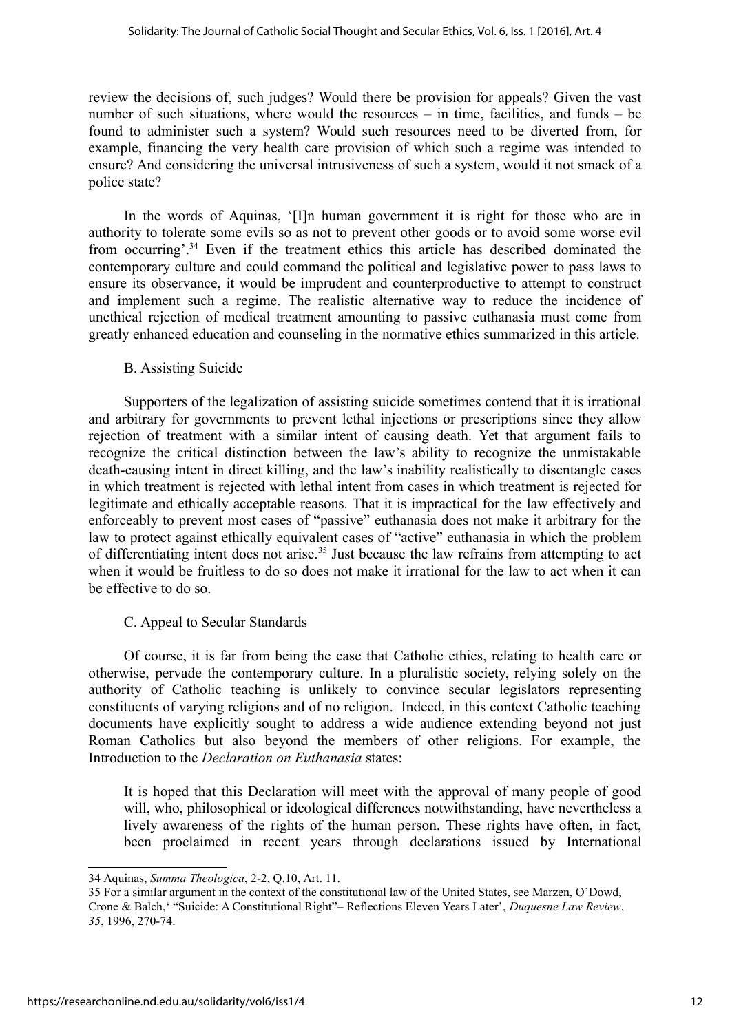review the decisions of, such judges? Would there be provision for appeals? Given the vast number of such situations, where would the resources – in time, facilities, and funds – be found to administer such a system? Would such resources need to be diverted from, for example, financing the very health care provision of which such a regime was intended to ensure? And considering the universal intrusiveness of such a system, would it not smack of a police state?

In the words of Aquinas, '[I]n human government it is right for those who are in authority to tolerate some evils so as not to prevent other goods or to avoid some worse evil from occurring'.[34](#page-13-0) Even if the treatment ethics this article has described dominated the contemporary culture and could command the political and legislative power to pass laws to ensure its observance, it would be imprudent and counterproductive to attempt to construct and implement such a regime. The realistic alternative way to reduce the incidence of unethical rejection of medical treatment amounting to passive euthanasia must come from greatly enhanced education and counseling in the normative ethics summarized in this article.

#### B. Assisting Suicide

Supporters of the legalization of assisting suicide sometimes contend that it is irrational and arbitrary for governments to prevent lethal injections or prescriptions since they allow rejection of treatment with a similar intent of causing death. Yet that argument fails to recognize the critical distinction between the law's ability to recognize the unmistakable death-causing intent in direct killing, and the law's inability realistically to disentangle cases in which treatment is rejected with lethal intent from cases in which treatment is rejected for legitimate and ethically acceptable reasons. That it is impractical for the law effectively and enforceably to prevent most cases of "passive" euthanasia does not make it arbitrary for the law to protect against ethically equivalent cases of "active" euthanasia in which the problem of differentiating intent does not arise.<sup>[35](#page-13-1)</sup> Just because the law refrains from attempting to act when it would be fruitless to do so does not make it irrational for the law to act when it can be effective to do so.

#### C. Appeal to Secular Standards

Of course, it is far from being the case that Catholic ethics, relating to health care or otherwise, pervade the contemporary culture. In a pluralistic society, relying solely on the authority of Catholic teaching is unlikely to convince secular legislators representing constituents of varying religions and of no religion. Indeed, in this context Catholic teaching documents have explicitly sought to address a wide audience extending beyond not just Roman Catholics but also beyond the members of other religions. For example, the Introduction to the *Declaration on Euthanasia* states:

It is hoped that this Declaration will meet with the approval of many people of good will, who, philosophical or ideological differences notwithstanding, have nevertheless a lively awareness of the rights of the human person. These rights have often, in fact, been proclaimed in recent years through declarations issued by International

<span id="page-13-0"></span><sup>34</sup> Aquinas, *Summa Theologica*, 2-2, Q.10, Art. 11.

<span id="page-13-1"></span><sup>35</sup> For a similar argument in the context of the constitutional law of the United States, see Marzen, O'Dowd, Crone & Balch,' "Suicide: A Constitutional Right"– Reflections Eleven Years Later', *Duquesne Law Review*, *35*, 1996, 270-74.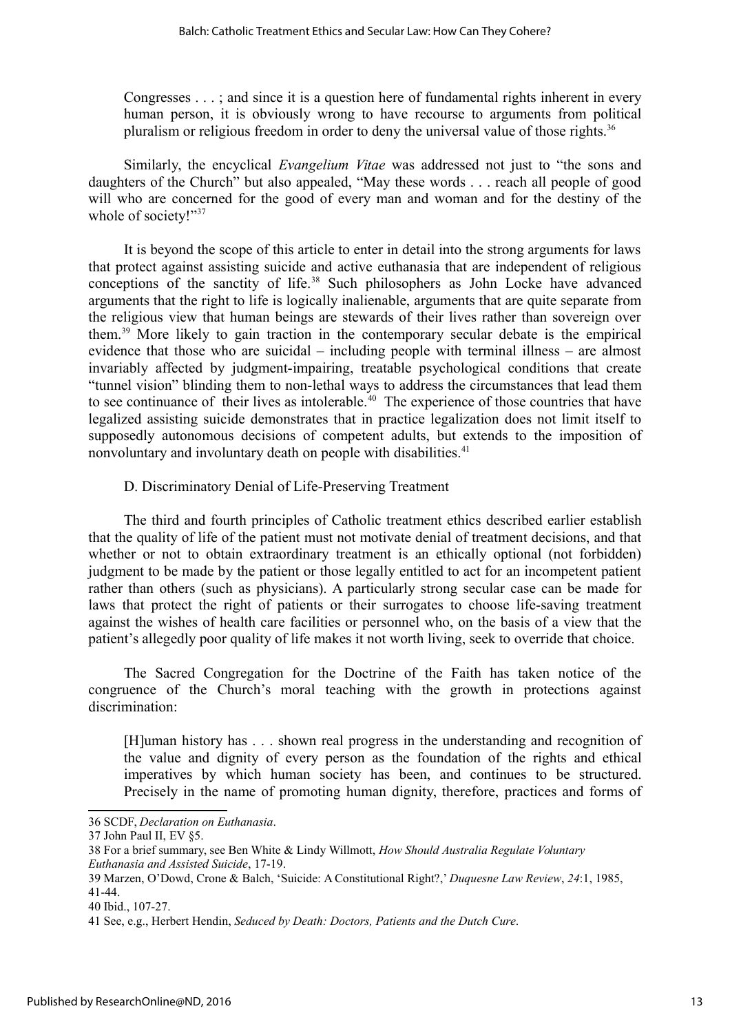Congresses . . . ; and since it is a question here of fundamental rights inherent in every human person, it is obviously wrong to have recourse to arguments from political pluralism or religious freedom in order to deny the universal value of those rights.<sup>[36](#page-14-0)</sup>

Similarly, the encyclical *Evangelium Vitae* was addressed not just to "the sons and daughters of the Church" but also appealed, "May these words . . . reach all people of good will who are concerned for the good of every man and woman and for the destiny of the whole of society!"<sup>[37](#page-14-1)</sup>

It is beyond the scope of this article to enter in detail into the strong arguments for laws that protect against assisting suicide and active euthanasia that are independent of religious conceptions of the sanctity of life.<sup>[38](#page-14-2)</sup> Such philosophers as John Locke have advanced arguments that the right to life is logically inalienable, arguments that are quite separate from the religious view that human beings are stewards of their lives rather than sovereign over them.[39](#page-14-3) More likely to gain traction in the contemporary secular debate is the empirical evidence that those who are suicidal – including people with terminal illness – are almost invariably affected by judgment-impairing, treatable psychological conditions that create "tunnel vision" blinding them to non-lethal ways to address the circumstances that lead them to see continuance of their lives as intolerable.<sup> $40$ </sup> The experience of those countries that have legalized assisting suicide demonstrates that in practice legalization does not limit itself to supposedly autonomous decisions of competent adults, but extends to the imposition of nonvoluntary and involuntary death on people with disabilities.<sup>[41](#page-14-5)</sup>

D. Discriminatory Denial of Life-Preserving Treatment

The third and fourth principles of Catholic treatment ethics described earlier establish that the quality of life of the patient must not motivate denial of treatment decisions, and that whether or not to obtain extraordinary treatment is an ethically optional (not forbidden) judgment to be made by the patient or those legally entitled to act for an incompetent patient rather than others (such as physicians). A particularly strong secular case can be made for laws that protect the right of patients or their surrogates to choose life-saving treatment against the wishes of health care facilities or personnel who, on the basis of a view that the patient's allegedly poor quality of life makes it not worth living, seek to override that choice.

The Sacred Congregation for the Doctrine of the Faith has taken notice of the congruence of the Church's moral teaching with the growth in protections against discrimination:

[H]uman history has . . . shown real progress in the understanding and recognition of the value and dignity of every person as the foundation of the rights and ethical imperatives by which human society has been, and continues to be structured. Precisely in the name of promoting human dignity, therefore, practices and forms of

<span id="page-14-0"></span><sup>36</sup> SCDF, *Declaration on Euthanasia*.

<span id="page-14-1"></span><sup>37</sup> John Paul II, EV §5.

<span id="page-14-2"></span><sup>38</sup> For a brief summary, see Ben White & Lindy Willmott, *How Should Australia Regulate Voluntary Euthanasia and Assisted Suicide*, 17-19.

<span id="page-14-3"></span><sup>39</sup> Marzen, O'Dowd, Crone & Balch, 'Suicide: A Constitutional Right?,' *Duquesne Law Review*, *24*:1, 1985, 41-44.

<span id="page-14-4"></span><sup>40</sup> Ibid., 107-27.

<span id="page-14-5"></span><sup>41</sup> See, e.g., Herbert Hendin, *Seduced by Death: Doctors, Patients and the Dutch Cure*.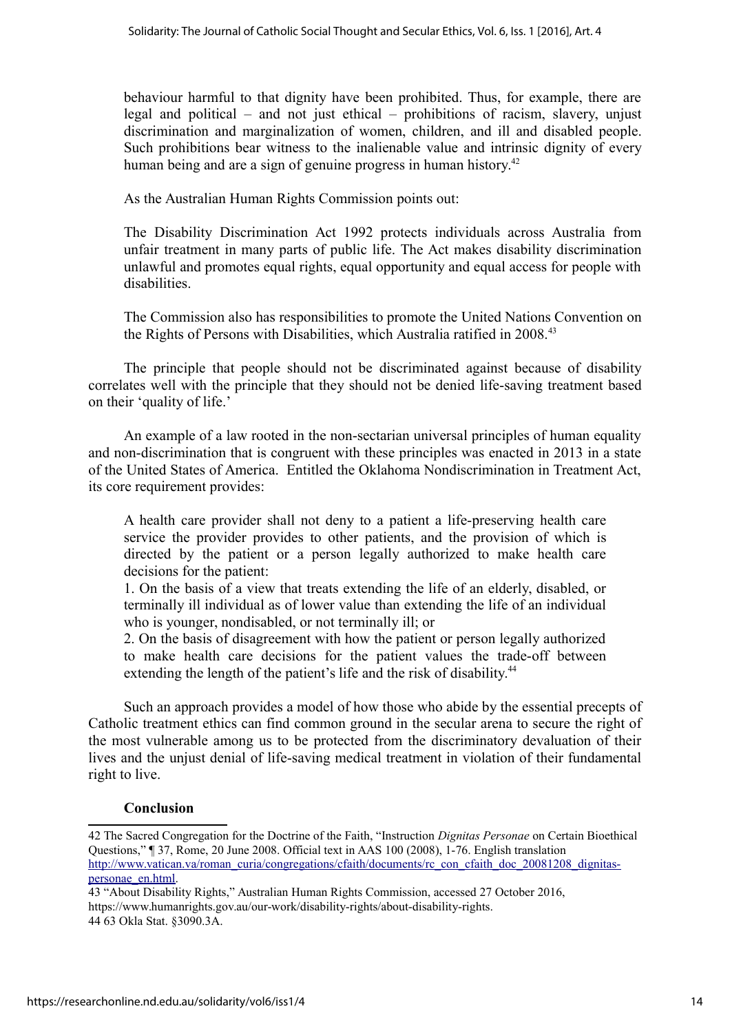behaviour harmful to that dignity have been prohibited. Thus, for example, there are legal and political – and not just ethical – prohibitions of racism, slavery, unjust discrimination and marginalization of women, children, and ill and disabled people. Such prohibitions bear witness to the inalienable value and intrinsic dignity of every human being and are a sign of genuine progress in human history.<sup>[42](#page-15-0)</sup>

As the Australian Human Rights Commission points out:

The Disability Discrimination Act 1992 protects individuals across Australia from unfair treatment in many parts of public life. The Act makes disability discrimination unlawful and promotes equal rights, equal opportunity and equal access for people with disabilities.

The Commission also has responsibilities to promote the United Nations Convention on the Rights of Persons with Disabilities, which Australia ratified in 2008.<sup>[43](#page-15-1)</sup>

The principle that people should not be discriminated against because of disability correlates well with the principle that they should not be denied life-saving treatment based on their 'quality of life.'

An example of a law rooted in the non-sectarian universal principles of human equality and non-discrimination that is congruent with these principles was enacted in 2013 in a state of the United States of America. Entitled the Oklahoma Nondiscrimination in Treatment Act, its core requirement provides:

A health care provider shall not deny to a patient a life-preserving health care service the provider provides to other patients, and the provision of which is directed by the patient or a person legally authorized to make health care decisions for the patient:

1. On the basis of a view that treats extending the life of an elderly, disabled, or terminally ill individual as of lower value than extending the life of an individual who is younger, nondisabled, or not terminally ill; or

2. On the basis of disagreement with how the patient or person legally authorized to make health care decisions for the patient values the trade-off between extending the length of the patient's life and the risk of disability.<sup>[44](#page-15-2)</sup>

Such an approach provides a model of how those who abide by the essential precepts of Catholic treatment ethics can find common ground in the secular arena to secure the right of the most vulnerable among us to be protected from the discriminatory devaluation of their lives and the unjust denial of life-saving medical treatment in violation of their fundamental right to live.

#### **Conclusion**

<span id="page-15-0"></span><sup>42</sup> The Sacred Congregation for the Doctrine of the Faith, "Instruction *Dignitas Personae* on Certain Bioethical Questions," ¶ 37, Rome, 20 June 2008. Official text in AAS 100 (2008), 1-76. English translation [http://www.vatican.va/roman\\_curia/congregations/cfaith/documents/rc\\_con\\_cfaith\\_doc\\_20081208\\_dignitas](http://www.vatican.va/roman_curia/congregations/cfaith/documents/rc_con_cfaith_doc_20081208_dignitas-personae_en%5C%5Chich%5C%5Caf0%5C%5Cdbch%5C%5Caf40%5C%5Cloch%5C%5Cf0%20.html)[personae\\_en.html.](http://www.vatican.va/roman_curia/congregations/cfaith/documents/rc_con_cfaith_doc_20081208_dignitas-personae_en%5C%5Chich%5C%5Caf0%5C%5Cdbch%5C%5Caf40%5C%5Cloch%5C%5Cf0%20.html)

<span id="page-15-2"></span><span id="page-15-1"></span><sup>43 &</sup>quot;About Disability Rights," Australian Human Rights Commission, accessed 27 October 2016, https://www.humanrights.gov.au/our-work/disability-rights/about-disability-rights. 44 63 Okla Stat. §3090.3A.